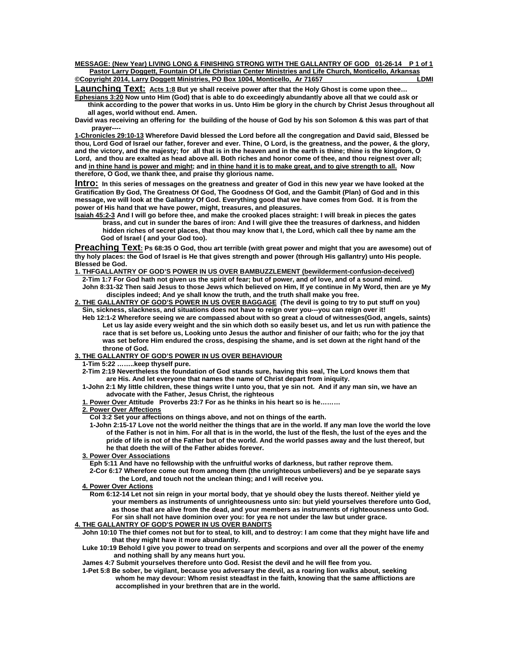**MESSAGE: (New Year) LIVING LONG & FINISHING STRONG WITH THE GALLANTRY OF GOD 01-26-14 P 1 of 1 Pastor Larry Doggett, Fountain Of Life Christian Center Ministries and Life Church, Monticello, Arkansas ©Copyright 2014, Larry Doggett Ministries, PO Box 1004, Monticello, Ar 71657** 

Launching Text: Acts 1:8 But ye shall receive power after that the Holy Ghost is come upon thee...

**Ephesians 3:20 Now unto Him (God) that is able to do exceedingly abundantly above all that we could ask or think according to the power that works in us. Unto Him be glory in the church by Christ Jesus throughout all all ages, world without end. Amen.** 

**David was receiving an offering for the building of the house of God by his son Solomon & this was part of that prayer----** 

**1-Chronicles 29:10-13 Wherefore David blessed the Lord before all the congregation and David said, Blessed be thou, Lord God of Israel our father, forever and ever. Thine, O Lord, is the greatness, and the power, & the glory, and the victory, and the majesty; for all that is in the heaven and in the earth is thine; thine is the kingdom, O Lord, and thou are exalted as head above all. Both riches and honor come of thee, and thou reignest over all; and in thine hand is power and might; and in thine hand it is to make great, and to give strength to all. Now therefore, O God, we thank thee, and praise thy glorious name.** 

**Intro: In this series of messages on the greatness and greater of God in this new year we have looked at the Gratification By God, The Greatness Of God, The Goodness Of God, and the Gambit (Plan) of God and in this message, we will look at the Gallantry Of God. Everything good that we have comes from God. It is from the power of His hand that we have power, might, treasures, and pleasures.** 

**Isaiah 45:2-3 And I will go before thee, and make the crooked places straight: I will break in pieces the gates brass, and cut in sunder the bares of iron: And I will give thee the treasures of darkness, and hidden hidden riches of secret places, that thou may know that I, the Lord, which call thee by name am the God of Israel ( and your God too).** 

**Preaching Text: Ps 68:35 O God, thou art terrible (with great power and might that you are awesome) out of thy holy places: the God of Israel is He that gives strength and power (through His gallantry) unto His people. Blessed be God.** 

## **1. THFGALLANTRY OF GOD'S POWER IN US OVER BAMBUZZLEMENT (bewilderment-confusion-deceived)**

- **2-Tim 1:7 For God hath not given us the spirit of fear; but of power, and of love, and of a sound mind. John 8:31-32 Then said Jesus to those Jews which believed on Him, If ye continue in My Word, then are ye My disciples indeed; And ye shall know the truth, and the truth shall make you free.**
- **2. THE GALLANTRY OF GOD'S POWER IN US OVER BAGGAGE (The devil is going to try to put stuff on you) Sin, sickness, slackness, and situations does not have to reign over you---you can reign over it!** 
	- **Heb 12:1-2 Wherefore seeing we are compassed about with so great a cloud of witnesses(God, angels, saints) Let us lay aside every weight and the sin which doth so easily beset us, and let us run with patience the race that is set before us, Looking unto Jesus the author and finisher of our faith; who for the joy that was set before Him endured the cross, despising the shame, and is set down at the right hand of the throne of God.**

## **3. THE GALLANTRY OF GOD'S POWER IN US OVER BEHAVIOUR**

 **1-Tim 5:22 ……..keep thyself pure.** 

- **2-Tim 2:19 Nevertheless the foundation of God stands sure, having this seal, The Lord knows them that are His. And let everyone that names the name of Christ depart from iniquity.**
- **1-John 2:1 My little children, these things write I unto you, that ye sin not. And if any man sin, we have an advocate with the Father, Jesus Christ, the righteous**
- **1. Power Over Attitude Proverbs 23:7 For as he thinks in his heart so is he………**
- **2. Power Over Affections**

 **Col 3:2 Set your affections on things above, and not on things of the earth.** 

- **1-John 2:15-17 Love not the world neither the things that are in the world. If any man love the world the love of the Father is not in him. For all that is in the world, the lust of the flesh, the lust of the eyes and the pride of life is not of the Father but of the world. And the world passes away and the lust thereof, but he that doeth the will of the Father abides forever.**
- **3. Power Over Associations**

 **Eph 5:11 And have no fellowship with the unfruitful works of darkness, but rather reprove them.** 

- **2-Cor 6:17 Wherefore come out from among them (the unrighteous unbelievers) and be ye separate says the Lord, and touch not the unclean thing; and I will receive you.**
- **4. Power Over Actions**
- **Rom 6:12-14 Let not sin reign in your mortal body, that ye should obey the lusts thereof. Neither yield ye your members as instruments of unrighteousness unto sin: but yield yourselves therefore unto God, as those that are alive from the dead, and your members as instruments of righteousness unto God. For sin shall not have dominion over you: for yea re not under the law but under grace.**

## **4. THE GALLANTRY OF GOD'S POWER IN US OVER BANDITS**

- **John 10:10 The thief comes not but for to steal, to kill, and to destroy: I am come that they might have life and that they might have it more abundantly.**
- **Luke 10:19 Behold I give you power to tread on serpents and scorpions and over all the power of the enemy and nothing shall by any means hurt you.**
- **James 4:7 Submit yourselves therefore unto God. Resist the devil and he will flee from you.**
- **1-Pet 5:8 Be sober, be vigilant, because you adversary the devil, as a roaring lion walks about, seeking whom he may devour: Whom resist steadfast in the faith, knowing that the same afflictions are accomplished in your brethren that are in the world.**